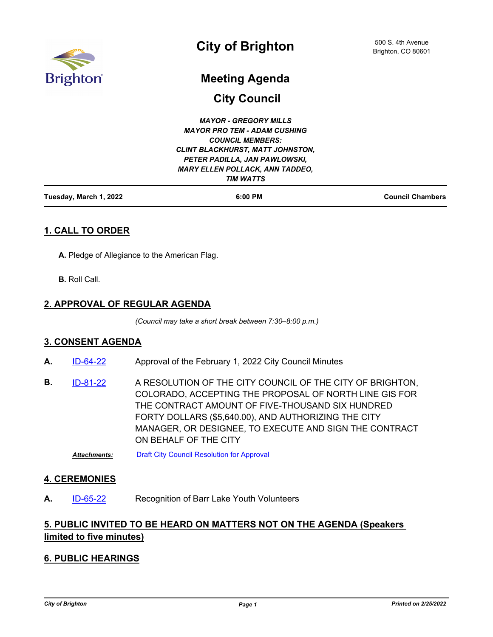

# **Meeting Agenda**

**City Council**

| Tuesday, March 1, 2022 | 6:00 PM                                 | <b>Council Chambers</b> |
|------------------------|-----------------------------------------|-------------------------|
|                        | <b>TIM WATTS</b>                        |                         |
|                        | <b>MARY ELLEN POLLACK, ANN TADDEO,</b>  |                         |
|                        | PETER PADILLA, JAN PAWLOWSKI,           |                         |
|                        | <b>CLINT BLACKHURST, MATT JOHNSTON,</b> |                         |
|                        | <b>COUNCIL MEMBERS:</b>                 |                         |
|                        | <b>MAYOR PRO TEM - ADAM CUSHING</b>     |                         |
|                        | <b>MAYOR - GREGORY MILLS</b>            |                         |

## **1. CALL TO ORDER**

**A.** Pledge of Allegiance to the American Flag.

**B.** Roll Call.

#### **2. APPROVAL OF REGULAR AGENDA**

*(Council may take a short break between 7:30–8:00 p.m.)*

#### **3. CONSENT AGENDA**

- A. [ID-64-22](http://brightonco.legistar.com/gateway.aspx?m=l&id=/matter.aspx?key=4703) Approval of the February 1, 2022 City Council Minutes
- A RESOLUTION OF THE CITY COUNCIL OF THE CITY OF BRIGHTON, COLORADO, ACCEPTING THE PROPOSAL OF NORTH LINE GIS FOR THE CONTRACT AMOUNT OF FIVE-THOUSAND SIX HUNDRED FORTY DOLLARS (\$5,640.00), AND AUTHORIZING THE CITY MANAGER, OR DESIGNEE, TO EXECUTE AND SIGN THE CONTRACT ON BEHALF OF THE CITY **B.** [ID-81-22](http://brightonco.legistar.com/gateway.aspx?m=l&id=/matter.aspx?key=4720)

*Attachments:* [Draft City Council Resolution for Approval](http://brightonco.legistar.com/gateway.aspx?M=F&ID=b55222d1-9cb7-4b11-a03e-d6bda0e4c259.DOCX)

#### **4. CEREMONIES**

A. [ID-65-22](http://brightonco.legistar.com/gateway.aspx?m=l&id=/matter.aspx?key=4704) Recognition of Barr Lake Youth Volunteers

# **5. PUBLIC INVITED TO BE HEARD ON MATTERS NOT ON THE AGENDA (Speakers limited to five minutes)**

#### **6. PUBLIC HEARINGS**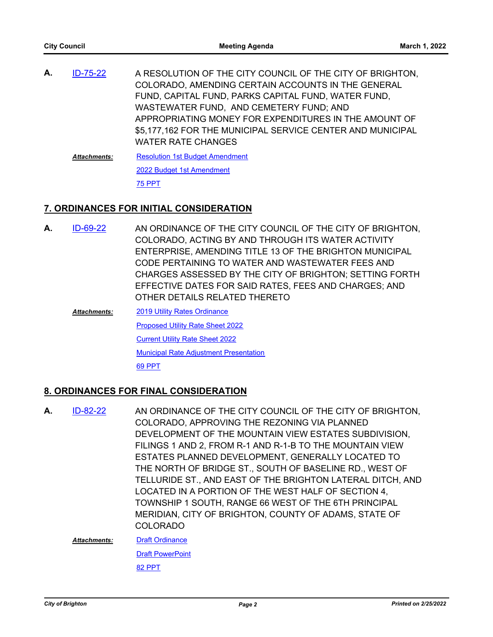A RESOLUTION OF THE CITY COUNCIL OF THE CITY OF BRIGHTON, COLORADO, AMENDING CERTAIN ACCOUNTS IN THE GENERAL FUND, CAPITAL FUND, PARKS CAPITAL FUND, WATER FUND, WASTEWATER FUND, AND CEMETERY FUND; AND APPROPRIATING MONEY FOR EXPENDITURES IN THE AMOUNT OF \$5,177,162 FOR THE MUNICIPAL SERVICE CENTER AND MUNICIPAL WATER RATE CHANGES **A.** [ID-75-22](http://brightonco.legistar.com/gateway.aspx?m=l&id=/matter.aspx?key=4714) [Resolution 1st Budget Amendment](http://brightonco.legistar.com/gateway.aspx?M=F&ID=c989abd3-3dd9-45c2-b622-fc8f239f1c7e.docx) *Attachments:*

> [2022 Budget 1st Amendment](http://brightonco.legistar.com/gateway.aspx?M=F&ID=bbbe567c-7e55-4b31-ac53-bdfd80fc7f90.pptx) [75 PPT](http://brightonco.legistar.com/gateway.aspx?M=F&ID=a4e3dc5b-dbee-4ee3-b2c4-8b7683d43eca.pdf)

## **7. ORDINANCES FOR INITIAL CONSIDERATION**

- AN ORDINANCE OF THE CITY COUNCIL OF THE CITY OF BRIGHTON, COLORADO, ACTING BY AND THROUGH ITS WATER ACTIVITY ENTERPRISE, AMENDING TITLE 13 OF THE BRIGHTON MUNICIPAL CODE PERTAINING TO WATER AND WASTEWATER FEES AND CHARGES ASSESSED BY THE CITY OF BRIGHTON; SETTING FORTH EFFECTIVE DATES FOR SAID RATES, FEES AND CHARGES; AND OTHER DETAILS RELATED THERETO **A.** [ID-69-22](http://brightonco.legistar.com/gateway.aspx?m=l&id=/matter.aspx?key=4708)
	- [2019 Utility Rates Ordinance](http://brightonco.legistar.com/gateway.aspx?M=F&ID=b6a4eea0-b90b-417b-9fa1-c06d440cf008.docx) [Proposed Utility Rate Sheet 2022](http://brightonco.legistar.com/gateway.aspx?M=F&ID=b2b0e66c-87a3-4b14-b3e9-dde71c66574e.pdf) [Current Utility Rate Sheet 2022](http://brightonco.legistar.com/gateway.aspx?M=F&ID=5d96b0a7-6249-43a7-9437-c68f6109524a.pdf) [Municipal Rate Adjustment Presentation](http://brightonco.legistar.com/gateway.aspx?M=F&ID=688a5da9-a397-43e2-8a44-9446738f5486.pptx) [69 PPT](http://brightonco.legistar.com/gateway.aspx?M=F&ID=7c67c273-6b63-4a62-8ad4-615832f69b65.pdf) *Attachments:*

#### **8. ORDINANCES FOR FINAL CONSIDERATION**

AN ORDINANCE OF THE CITY COUNCIL OF THE CITY OF BRIGHTON, COLORADO, APPROVING THE REZONING VIA PLANNED DEVELOPMENT OF THE MOUNTAIN VIEW ESTATES SUBDIVISION, FILINGS 1 AND 2, FROM R-1 AND R-1-B TO THE MOUNTAIN VIEW ESTATES PLANNED DEVELOPMENT, GENERALLY LOCATED TO THE NORTH OF BRIDGE ST., SOUTH OF BASELINE RD., WEST OF TELLURIDE ST., AND EAST OF THE BRIGHTON LATERAL DITCH, AND LOCATED IN A PORTION OF THE WEST HALF OF SECTION 4, TOWNSHIP 1 SOUTH, RANGE 66 WEST OF THE 6TH PRINCIPAL MERIDIAN, CITY OF BRIGHTON, COUNTY OF ADAMS, STATE OF COLORADO **A.** [ID-82-22](http://brightonco.legistar.com/gateway.aspx?m=l&id=/matter.aspx?key=4721)

**[Draft Ordinance](http://brightonco.legistar.com/gateway.aspx?M=F&ID=5dd04ac3-49fb-494d-8b7b-54fa88198984.docx) [Draft PowerPoint](http://brightonco.legistar.com/gateway.aspx?M=F&ID=270dd79f-1b76-43e2-8a2b-e6ae05e7c854.pdf)** *Attachments:*

[82 PPT](http://brightonco.legistar.com/gateway.aspx?M=F&ID=1d997b10-8775-440c-81db-09948e68daf3.pdf)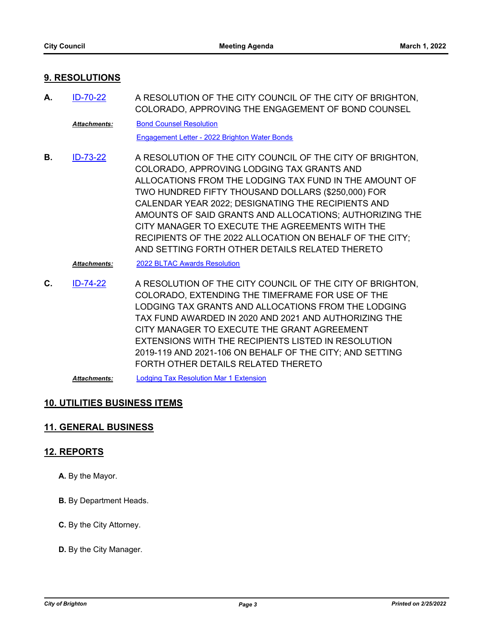#### **9. RESOLUTIONS**

A RESOLUTION OF THE CITY COUNCIL OF THE CITY OF BRIGHTON, COLORADO, APPROVING THE ENGAGEMENT OF BOND COUNSEL **A.** [ID-70-22](http://brightonco.legistar.com/gateway.aspx?m=l&id=/matter.aspx?key=4709)

[Bond Counsel Resolution](http://brightonco.legistar.com/gateway.aspx?M=F&ID=165a3dff-2bac-4ac1-816a-09bcd985060a.docx) *Attachments:*

[Engagement Letter - 2022 Brighton Water Bonds](http://brightonco.legistar.com/gateway.aspx?M=F&ID=babf4ea8-1e0e-4495-9a25-1798c965e38b.PDF)

A RESOLUTION OF THE CITY COUNCIL OF THE CITY OF BRIGHTON, COLORADO, APPROVING LODGING TAX GRANTS AND ALLOCATIONS FROM THE LODGING TAX FUND IN THE AMOUNT OF TWO HUNDRED FIFTY THOUSAND DOLLARS (\$250,000) FOR CALENDAR YEAR 2022; DESIGNATING THE RECIPIENTS AND AMOUNTS OF SAID GRANTS AND ALLOCATIONS; AUTHORIZING THE CITY MANAGER TO EXECUTE THE AGREEMENTS WITH THE RECIPIENTS OF THE 2022 ALLOCATION ON BEHALF OF THE CITY; AND SETTING FORTH OTHER DETAILS RELATED THERETO **B.** [ID-73-22](http://brightonco.legistar.com/gateway.aspx?m=l&id=/matter.aspx?key=4712)

*Attachments:* [2022 BLTAC Awards Resolution](http://brightonco.legistar.com/gateway.aspx?M=F&ID=00885e5c-6975-44bf-aa6c-53b47709fa02.docx)

A RESOLUTION OF THE CITY COUNCIL OF THE CITY OF BRIGHTON, COLORADO, EXTENDING THE TIMEFRAME FOR USE OF THE LODGING TAX GRANTS AND ALLOCATIONS FROM THE LODGING TAX FUND AWARDED IN 2020 AND 2021 AND AUTHORIZING THE CITY MANAGER TO EXECUTE THE GRANT AGREEMENT EXTENSIONS WITH THE RECIPIENTS LISTED IN RESOLUTION 2019-119 AND 2021-106 ON BEHALF OF THE CITY; AND SETTING FORTH OTHER DETAILS RELATED THERETO **C.** [ID-74-22](http://brightonco.legistar.com/gateway.aspx?m=l&id=/matter.aspx?key=4713)

*Attachments:* [Lodging Tax Resolution Mar 1 Extension](http://brightonco.legistar.com/gateway.aspx?M=F&ID=90005f9e-63d2-49d7-beee-039cbaefeecb.docx)

## **10. UTILITIES BUSINESS ITEMS**

## **11. GENERAL BUSINESS**

#### **12. REPORTS**

- **A.** By the Mayor.
- **B.** By Department Heads.
- **C.** By the City Attorney.
- **D.** By the City Manager.